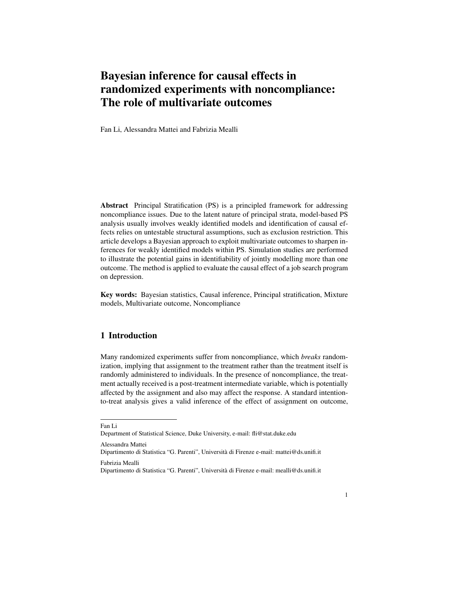# Bayesian inference for causal effects in randomized experiments with noncompliance: The role of multivariate outcomes

Fan Li, Alessandra Mattei and Fabrizia Mealli

Abstract Principal Stratification (PS) is a principled framework for addressing noncompliance issues. Due to the latent nature of principal strata, model-based PS analysis usually involves weakly identified models and identification of causal effects relies on untestable structural assumptions, such as exclusion restriction. This article develops a Bayesian approach to exploit multivariate outcomes to sharpen inferences for weakly identified models within PS. Simulation studies are performed to illustrate the potential gains in identifiability of jointly modelling more than one outcome. The method is applied to evaluate the causal effect of a job search program on depression.

Key words: Bayesian statistics, Causal inference, Principal stratification, Mixture models, Multivariate outcome, Noncompliance

# 1 Introduction

Many randomized experiments suffer from noncompliance, which *breaks* randomization, implying that assignment to the treatment rather than the treatment itself is randomly administered to individuals. In the presence of noncompliance, the treatment actually received is a post-treatment intermediate variable, which is potentially affected by the assignment and also may affect the response. A standard intentionto-treat analysis gives a valid inference of the effect of assignment on outcome,

Fan Li

Dipartimento di Statistica "G. Parenti", Universita di Firenze e-mail: mattei@ds.unifi.it ` Fabrizia Mealli

Department of Statistical Science, Duke University, e-mail: fli@stat.duke.edu

Alessandra Mattei

Dipartimento di Statistica "G. Parenti", Universita di Firenze e-mail: mealli@ds.unifi.it `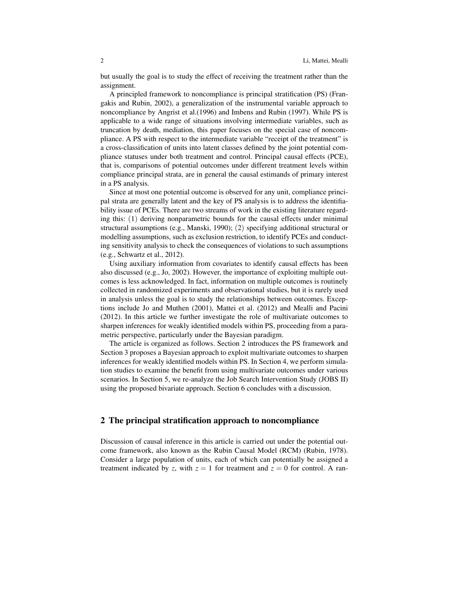but usually the goal is to study the effect of receiving the treatment rather than the assignment.

A principled framework to noncompliance is principal stratification (PS) (Frangakis and Rubin, 2002), a generalization of the instrumental variable approach to noncompliance by Angrist et al.(1996) and Imbens and Rubin (1997). While PS is applicable to a wide range of situations involving intermediate variables, such as truncation by death, mediation, this paper focuses on the special case of noncompliance. A PS with respect to the intermediate variable "receipt of the treatment" is a cross-classification of units into latent classes defined by the joint potential compliance statuses under both treatment and control. Principal causal effects (PCE), that is, comparisons of potential outcomes under different treatment levels within compliance principal strata, are in general the causal estimands of primary interest in a PS analysis.

Since at most one potential outcome is observed for any unit, compliance principal strata are generally latent and the key of PS analysis is to address the identifiability issue of PCEs. There are two streams of work in the existing literature regarding this: (1) deriving nonparametric bounds for the causal effects under minimal structural assumptions (e.g., Manski, 1990); (2) specifying additional structural or modelling assumptions, such as exclusion restriction, to identify PCEs and conducting sensitivity analysis to check the consequences of violations to such assumptions (e.g., Schwartz et al., 2012).

Using auxiliary information from covariates to identify causal effects has been also discussed (e.g., Jo, 2002). However, the importance of exploiting multiple outcomes is less acknowledged. In fact, information on multiple outcomes is routinely collected in randomized experiments and observational studies, but it is rarely used in analysis unless the goal is to study the relationships between outcomes. Exceptions include Jo and Muthen (2001), Mattei et al. (2012) and Mealli and Pacini (2012). In this article we further investigate the role of multivariate outcomes to sharpen inferences for weakly identified models within PS, proceeding from a parametric perspective, particularly under the Bayesian paradigm.

The article is organized as follows. Section 2 introduces the PS framework and Section 3 proposes a Bayesian approach to exploit multivariate outcomes to sharpen inferences for weakly identified models within PS. In Section 4, we perform simulation studies to examine the benefit from using multivariate outcomes under various scenarios. In Section 5, we re-analyze the Job Search Intervention Study (JOBS II) using the proposed bivariate approach. Section 6 concludes with a discussion.

## 2 The principal stratification approach to noncompliance

Discussion of causal inference in this article is carried out under the potential outcome framework, also known as the Rubin Causal Model (RCM) (Rubin, 1978). Consider a large population of units, each of which can potentially be assigned a treatment indicated by *z*, with  $z = 1$  for treatment and  $z = 0$  for control. A ran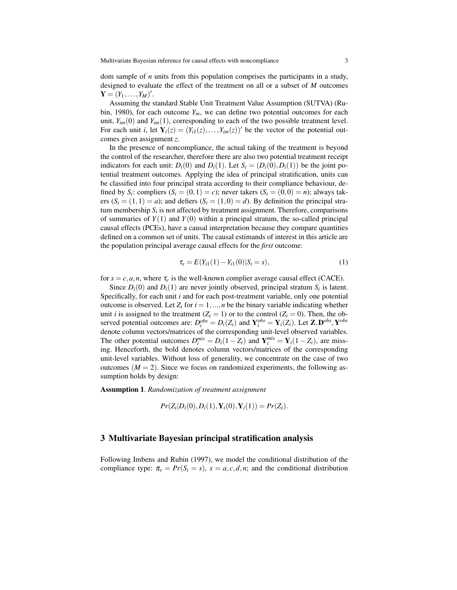dom sample of *n* units from this population comprises the participants in a study, designed to evaluate the effect of the treatment on all or a subset of *M* outcomes  $Y = (Y_1, ..., Y_M)'$ .

Assuming the standard Stable Unit Treatment Value Assumption (SUTVA) (Rubin, 1980), for each outcome  $Y_m$ , we can define two potential outcomes for each unit,  $Y_{im}(0)$  and  $Y_{im}(1)$ , corresponding to each of the two possible treatment level. For each unit *i*, let  $Y_i(z) = (Y_{i1}(z),...,Y_{im}(z))'$  be the vector of the potential outcomes given assignment *z*.

In the presence of noncompliance, the actual taking of the treatment is beyond the control of the researcher, therefore there are also two potential treatment receipt indicators for each unit:  $D_i(0)$  and  $D_i(1)$ . Let  $S_i = (D_i(0), D_i(1))$  be the joint potential treatment outcomes. Applying the idea of principal stratification, units can be classified into four principal strata according to their compliance behaviour, defined by  $S_i$ : compliers  $(S_i = (0,1) = c)$ ; never takers  $(S_i = (0,0) = n)$ ; always takers  $(S_i = (1,1) = a)$ ; and defiers  $(S_i = (1,0) = d)$ . By definition the principal stratum membership  $S_i$  is not affected by treatment assignment. Therefore, comparisons of summaries of  $Y(1)$  and  $Y(0)$  within a principal stratum, the so-called principal causal effects (PCEs), have a causal interpretation because they compare quantities defined on a common set of units. The causal estimands of interest in this article are the population principal average causal effects for the *first* outcome:

$$
\tau_s = E(Y_{i1}(1) - Y_{i1}(0)|S_i = s), \tag{1}
$$

for  $s = c, a, n$ , where  $\tau_c$  is the well-known complier average causal effect (CACE).

Since  $D_i(0)$  and  $D_i(1)$  are never jointly observed, principal stratum  $S_i$  is latent. Specifically, for each unit *i* and for each post-treatment variable, only one potential outcome is observed. Let  $Z_i$  for  $i = 1, ..., n$  be the binary variable indicating whether unit *i* is assigned to the treatment  $(Z_i = 1)$  or to the control  $(Z_i = 0)$ . Then, the observed potential outcomes are:  $D_i^{obs} = D_i(Z_i)$  and  $Y_i^{obs} = Y_i(Z_i)$ . Let  $\mathbf{Z}, \mathbf{D}^{obs}, \mathbf{Y}^{obs}$ denote column vectors/matrices of the corresponding unit-level observed variables. The other potential outcomes  $D_i^{mis} = D_i(1 - Z_i)$  and  $Y_i^{mis} = Y_i(1 - Z_i)$ , are missing. Henceforth, the bold denotes column vectors/matrices of the corresponding unit-level variables. Without loss of generality, we concentrate on the case of two outcomes  $(M = 2)$ . Since we focus on randomized experiments, the following assumption holds by design:

Assumption 1. *Randomization of treatment assignment*

$$
Pr(Z_i|D_i(0), D_i(1), \mathbf{Y}_i(0), \mathbf{Y}_i(1)) = Pr(Z_i).
$$

#### 3 Multivariate Bayesian principal stratification analysis

Following Imbens and Rubin (1997), we model the conditional distribution of the compliance type:  $\pi_s = Pr(S_i = s)$ ,  $s = a, c, d, n$ ; and the conditional distribution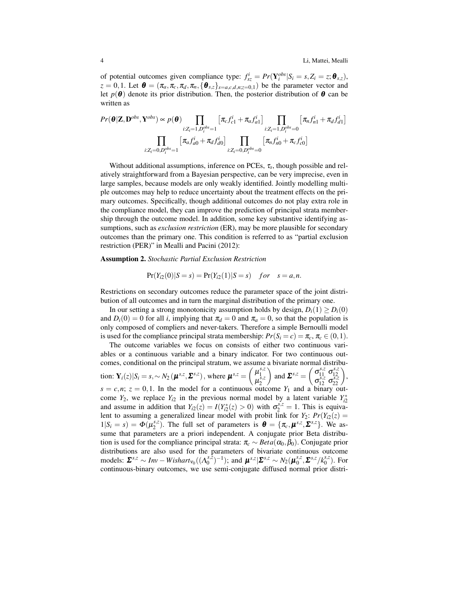of potential outcomes given compliance type:  $f_{sz}^i = Pr(Y_i^{obs}|S_i = s, Z_i = z; \theta_{s,z}),$  $z = 0, 1$ . Let  $\boldsymbol{\theta} = (\pi_a, \pi_c, \pi_d, \pi_n, {\{\theta_{s,z}\}}_{s=a,c,d,n;z=0,1})$  be the parameter vector and let  $p(\boldsymbol{\theta})$  denote its prior distribution. Then, the posterior distribution of  $\boldsymbol{\theta}$  can be written as

$$
Pr(\boldsymbol{\theta}|\mathbf{Z}, \mathbf{D}^{obs}, \mathbf{Y}^{obs}) \propto p(\boldsymbol{\theta}) \prod_{i: Z_i = 1, D_i^{obs} = 1} [\pi_c f_{c1}^i + \pi_a f_{a1}^i] \prod_{i: Z_i = 1, D_i^{obs} = 0} [\pi_n f_{n1}^i + \pi_d f_{d1}^i]
$$

$$
\prod_{i: Z_i = 0, D_i^{obs} = 1} [\pi_a f_{a0}^i + \pi_d f_{d0}^i] \prod_{i: Z_i = 0, D_i^{obs} = 0} [\pi_n f_{n0}^i + \pi_c f_{c0}^i]
$$

Without additional assumptions, inference on PCEs, τ*<sup>s</sup>* , though possible and relatively straightforward from a Bayesian perspective, can be very imprecise, even in large samples, because models are only weakly identified. Jointly modelling multiple outcomes may help to reduce uncertainty about the treatment effects on the primary outcomes. Specifically, though additional outcomes do not play extra role in the compliance model, they can improve the prediction of principal strata membership through the outcome model. In addition, some key substantive identifying assumptions, such as *exclusion restriction* (ER), may be more plausible for secondary outcomes than the primary one. This condition is referred to as "partial exclusion restriction (PER)" in Mealli and Pacini (2012):

Assumption 2. *Stochastic Partial Exclusion Restriction*

$$
Pr(Y_{i2}(0)|S = s) = Pr(Y_{i2}(1)|S = s) \quad for \quad s = a, n.
$$

Restrictions on secondary outcomes reduce the parameter space of the joint distribution of all outcomes and in turn the marginal distribution of the primary one.

In our setting a strong monotonicity assumption holds by design,  $D_i(1) \geq D_i(0)$ and  $D_i(0) = 0$  for all *i*, implying that  $\pi_d = 0$  and  $\pi_a = 0$ , so that the population is only composed of compliers and never-takers. Therefore a simple Bernoulli model is used for the compliance principal strata membership:  $Pr(S_i = c) = \pi_c, \pi_c \in (0, 1)$ .

The outcome variables we focus on consists of either two continuous variables or a continuous variable and a binary indicator. For two continuous outcomes, conditional on the principal stratum, we assume a bivariate normal distribution:  $\mathbf{Y}_i(z)|S_i = s, \sim N_2(\boldsymbol{\mu}^{s,z}, \boldsymbol{\Sigma}^{s,z})$ , where  $\boldsymbol{\mu}^{s,z} = \begin{pmatrix} \mu_1^{s,z}, & \mu_2^{s,z}, & \mu_3^{s,z}, & \mu_4^{s,z}, & \mu_5^{s,z}, & \mu_6^{s,z}, & \mu_7^{s,z}, & \mu_8^{s,z}, & \mu_9^{s,z}, & \mu_9^{s,z}, & \mu_9^{s,z}, & \mu_9^{s,z}, & \mu_9^{s,z}, & \mu_9^{s,z}, & \mu_9^{s,z}, & \mu_9^{s,z}, & \mu_9$  $\mu_1^{\tiny s,z}$ 2 and  $\mathbf{\Sigma}^{s,z} = \begin{pmatrix} \sigma_{11}^{s,z} & \sigma_{12}^{s,z} \\ \sigma_{12}^{s,z} & \sigma_{22}^{s,z} \end{pmatrix}$  $\sigma_{12}^{s,z}$   $\sigma_{22}^{s,z}$  $\begin{pmatrix} s,z \\ 12 \ s,z \\ 22 \end{pmatrix}$ ,  $s = c, n$ ;  $z = 0, 1$ . In the model for a continuous outcome  $Y_1$  and a binary outcome  $Y_2$ , we replace  $Y_{i2}$  in the previous normal model by a latent variable  $Y_{i2}^*$ and assume in addition that  $Y_{i2}(z) = I(Y_{i2}^*(z) > 0)$  with  $\sigma_2^{s,z} = 1$ . This is equivalent to assuming a generalized linear model with probit link for  $Y_2$ :  $Pr(Y_{i2}(z) =$  $1|S_i = s) = \Phi(\mu_2^{s,z})$  $\mathbf{z}^{s,z}$ ). The full set of parameters is  $\mathbf{\theta} = {\pi_c, \boldsymbol{\mu}^{s,z}, \boldsymbol{\Sigma}^{s,z}}$ . We assume that parameters are a priori independent. A conjugate prior Beta distribution is used for the compliance principal strata:  $\pi_c \sim Beta(\alpha_0, \beta_0)$ . Conjugate prior distributions are also used for the parameters of bivariate continuous outcome  $\text{models: } \Sigma^{s,z} \sim Inv - Wishart_{V_0}((\Lambda_0^{s,z})$  $\mathbf{M}_0^{s,\bar{z}}$ <sub>0</sub><sup>-1</sup>); and  $\mathbf{\mu}^{s,z}|\mathbf{\Sigma}^{s,z} \sim N_2(\mathbf{\mu}_0^{s,z})$  $S_0^{s,z}$ ,  $\sum s,z/k_0^{s,z}$  $_{0}^{s,z}$ ). For continuous-binary outcomes, we use semi-conjugate diffused normal prior distri-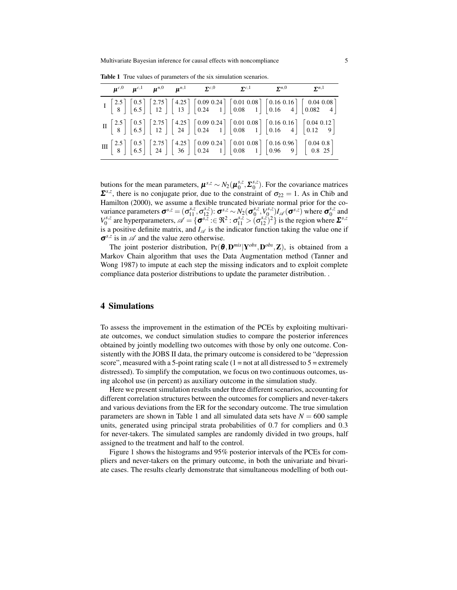|  |  |  | $\mu^{c,0}$ $\mu^{c,1}$ $\mu^{n,0}$ $\mu^{n,1}$ $\Sigma^{c,0}$ $\Sigma^{c,1}$ $\Sigma^{n,0}$ $\Sigma^{n,1}$ |                                                                                                                                                                                                                                                                                                                                                                                                       |
|--|--|--|-------------------------------------------------------------------------------------------------------------|-------------------------------------------------------------------------------------------------------------------------------------------------------------------------------------------------------------------------------------------------------------------------------------------------------------------------------------------------------------------------------------------------------|
|  |  |  |                                                                                                             | $I\begin{bmatrix} 2.5 \\ 8 \end{bmatrix} \begin{bmatrix} 0.5 \\ 6.5 \end{bmatrix} \begin{bmatrix} 2.75 \\ 12 \end{bmatrix} \begin{bmatrix} 4.25 \\ 13 \end{bmatrix} \begin{bmatrix} 0.09 & 0.24 \\ 0.24 & 1 \end{bmatrix} \begin{bmatrix} 0.01 & 0.08 \\ 0.08 & 1 \end{bmatrix} \begin{bmatrix} 0.16 & 0.16 \\ 0.16 & 4 \end{bmatrix} \begin{bmatrix} 0.04 & 0.08 \\ 0.082 & 4 \end{bmatrix}$         |
|  |  |  |                                                                                                             | $\text{II} \begin{bmatrix} 2.5 \\ 8 \end{bmatrix} \begin{bmatrix} 0.5 \\ 6.5 \end{bmatrix} \begin{bmatrix} 2.75 \\ 12 \end{bmatrix} \begin{bmatrix} 4.25 \\ 24 \end{bmatrix} \begin{bmatrix} 0.09 & 0.24 \\ 0.24 & 1 \end{bmatrix} \begin{bmatrix} 0.01 & 0.08 \\ 0.08 & 1 \end{bmatrix} \begin{bmatrix} 0.16 & 0.16 \\ 0.16 & 4 \end{bmatrix} \begin{bmatrix} 0.04 & 0.12 \\ 0.12 & 9 \end{bmatrix}$ |
|  |  |  |                                                                                                             | $\text{III} \begin{bmatrix} 2.5 \\ 8 \end{bmatrix} \begin{bmatrix} 0.5 \\ 6.5 \end{bmatrix} \begin{bmatrix} 2.75 \\ 24 \end{bmatrix} \begin{bmatrix} 4.25 \\ 36 \end{bmatrix} \begin{bmatrix} 0.09 & 0.24 \\ 0.24 & 1 \end{bmatrix} \begin{bmatrix} 0.01 & 0.08 \\ 0.08 & 1 \end{bmatrix} \begin{bmatrix} 0.16 & 0.96 \\ 0.96 & 9 \end{bmatrix} \begin{bmatrix} 0.04 & 0.8 \\ 0.8 & 25 \end{bmatrix}$ |

Table 1 True values of parameters of the six simulation scenarios.

butions for the mean parameters,  $\boldsymbol{\mu}^{s,z} \sim N_2(\boldsymbol{\mu}_0^{s,z})$  $S_0^{s,z}$ ,  $\Sigma_0^{s,z}$  $\binom{s}{0}$ . For the covariance matrices  $\Sigma^{s,z}$ , there is no conjugate prior, due to the constraint of  $\sigma_{22} = 1$ . As in Chib and Hamilton (2000), we assume a flexible truncated bivariate normal prior for the covariance parameters  $\boldsymbol{\sigma}^{s,z} = (\sigma_{11}^{s,z}, \sigma_{12}^{s,z})$ :  $\boldsymbol{\sigma}^{s,z} \sim N_2(\boldsymbol{\sigma}_0^{s,z})$  $\binom{s}{0}^{s,z}, \binom{V_s^{s,z}}{0}$  $\sigma_0^{s,z}$ ) $I_{\mathscr{A}}(\boldsymbol{\sigma}^{s,z})$  where  $\boldsymbol{\sigma}_0^{s,z}$  $_0^{s,z}$  and  $V_0^{s,z}$  $\sigma_0^{s,z}$  are hyperparameters,  $\mathscr{A} = {\sigma_s^s \overline{z}} : \mathfrak{S}^2 : \sigma_{11}^{s,z} > (\sigma_{12}^{s,z})^2$  is the region where  $\mathbf{\Sigma}^{s,z}$ is a positive definite matrix, and  $I_{\mathscr{A}}$  is the indicator function taking the value one if  $\sigma^{s,z}$  is in  $\mathscr A$  and the value zero otherwise.

The joint posterior distribution, Pr(θ ,D *mis*|Y *obs* ,D *obs* ,Z), is obtained from a Markov Chain algorithm that uses the Data Augmentation method (Tanner and Wong 1987) to impute at each step the missing indicators and to exploit complete compliance data posterior distributions to update the parameter distribution. .

#### 4 Simulations

To assess the improvement in the estimation of the PCEs by exploiting multivariate outcomes, we conduct simulation studies to compare the posterior inferences obtained by jointly modelling two outcomes with those by only one outcome. Consistently with the JOBS II data, the primary outcome is considered to be "depression score", measured with a 5-point rating scale  $(1 = not at all discussed to 5 = extremely$ distressed). To simplify the computation, we focus on two continuous outcomes, using alcohol use (in percent) as auxiliary outcome in the simulation study.

Here we present simulation results under three different scenarios, accounting for different correlation structures between the outcomes for compliers and never-takers and various deviations from the ER for the secondary outcome. The true simulation parameters are shown in Table 1 and all simulated data sets have  $N = 600$  sample units, generated using principal strata probabilities of 0.7 for compliers and 0.3 for never-takers. The simulated samples are randomly divided in two groups, half assigned to the treatment and half to the control.

Figure 1 shows the histograms and 95% posterior intervals of the PCEs for compliers and never-takers on the primary outcome, in both the univariate and bivariate cases. The results clearly demonstrate that simultaneous modelling of both out-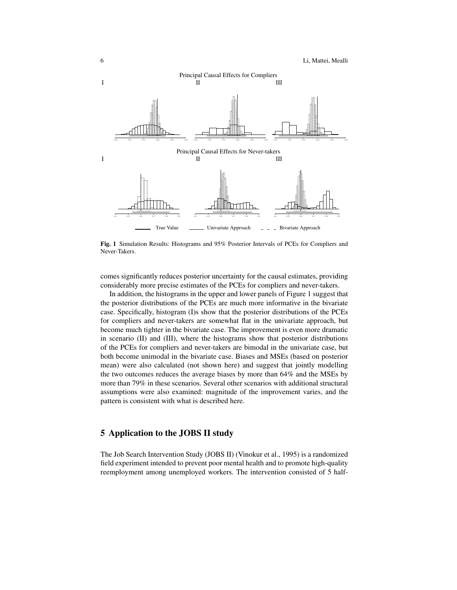

Fig. 1 Simulation Results: Histograms and 95% Posterior Intervals of PCEs for Compliers and Never-Takers.

comes significantly reduces posterior uncertainty for the causal estimates, providing considerably more precise estimates of the PCEs for compliers and never-takers.

In addition, the histograms in the upper and lower panels of Figure 1 suggest that the posterior distributions of the PCEs are much more informative in the bivariate case. Specifically, histogram (I)s show that the posterior distributions of the PCEs for compliers and never-takers are somewhat flat in the univariate approach, but become much tighter in the bivariate case. The improvement is even more dramatic in scenario (II) and (III), where the histograms show that posterior distributions of the PCEs for compliers and never-takers are bimodal in the univariate case, but both become unimodal in the bivariate case. Biases and MSEs (based on posterior mean) were also calculated (not shown here) and suggest that jointly modelling the two outcomes reduces the average biases by more than 64% and the MSEs by more than 79% in these scenarios. Several other scenarios with additional structural assumptions were also examined: magnitude of the improvement varies, and the pattern is consistent with what is described here.

## 5 Application to the JOBS II study

The Job Search Intervention Study (JOBS II) (Vinokur et al., 1995) is a randomized field experiment intended to prevent poor mental health and to promote high-quality reemployment among unemployed workers. The intervention consisted of 5 half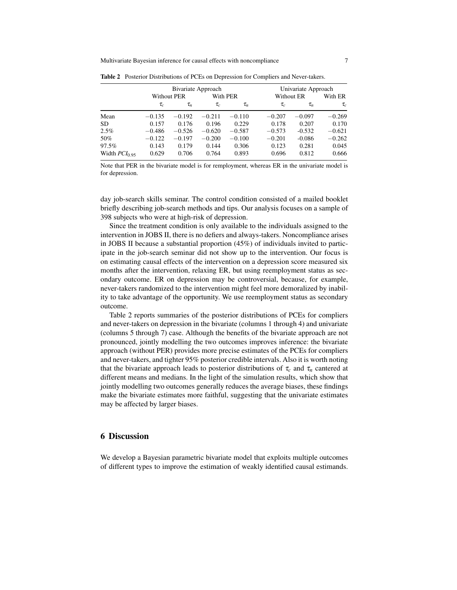Multivariate Bayesian inference for causal effects with noncompliance 7

|                    |                    |          | Bivariate Approach |          | Univariate Approach |          |          |  |
|--------------------|--------------------|----------|--------------------|----------|---------------------|----------|----------|--|
|                    | <b>Without PER</b> |          | With PER           |          | Without ER          |          | With ER  |  |
|                    | $\tau_c$           | $\tau_n$ | $\tau_c$           | $\tau_n$ | $\tau_c$            | $\tau_n$ | $\tau_c$ |  |
| Mean               | $-0.135$           | $-0.192$ | $-0.211$           | $-0.110$ | $-0.207$            | $-0.097$ | $-0.269$ |  |
| <b>SD</b>          | 0.157              | 0.176    | 0.196              | 0.229    | 0.178               | 0.207    | 0.170    |  |
| 2.5%               | $-0.486$           | $-0.526$ | $-0.620$           | $-0.587$ | $-0.573$            | $-0.532$ | $-0.621$ |  |
| 50%                | $-0.122$           | $-0.197$ | $-0.200$           | $-0.100$ | $-0.201$            | $-0.086$ | $-0.262$ |  |
| 97.5%              | 0.143              | 0.179    | 0.144              | 0.306    | 0.123               | 0.281    | 0.045    |  |
| Width $PCI_{0.95}$ | 0.629              | 0.706    | 0.764              | 0.893    | 0.696               | 0.812    | 0.666    |  |

Table 2 Posterior Distributions of PCEs on Depression for Compliers and Never-takers.

Note that PER in the bivariate model is for remployment, whereas ER in the univariate model is for depression.

day job-search skills seminar. The control condition consisted of a mailed booklet briefly describing job-search methods and tips. Our analysis focuses on a sample of 398 subjects who were at high-risk of depression.

Since the treatment condition is only available to the individuals assigned to the intervention in JOBS II, there is no defiers and always-takers. Noncompliance arises in JOBS II because a substantial proportion (45%) of individuals invited to participate in the job-search seminar did not show up to the intervention. Our focus is on estimating causal effects of the intervention on a depression score measured six months after the intervention, relaxing ER, but using reemployment status as secondary outcome. ER on depression may be controversial, because, for example, never-takers randomized to the intervention might feel more demoralized by inability to take advantage of the opportunity. We use reemployment status as secondary outcome.

Table 2 reports summaries of the posterior distributions of PCEs for compliers and never-takers on depression in the bivariate (columns 1 through 4) and univariate (columns 5 through 7) case. Although the benefits of the bivariate approach are not pronounced, jointly modelling the two outcomes improves inference: the bivariate approach (without PER) provides more precise estimates of the PCEs for compliers and never-takers, and tighter 95% posterior credible intervals. Also it is worth noting that the bivariate approach leads to posterior distributions of  $\tau_c$  and  $\tau_n$  cantered at different means and medians. In the light of the simulation results, which show that jointly modelling two outcomes generally reduces the average biases, these findings make the bivariate estimates more faithful, suggesting that the univariate estimates may be affected by larger biases.

### 6 Discussion

We develop a Bayesian parametric bivariate model that exploits multiple outcomes of different types to improve the estimation of weakly identified causal estimands.